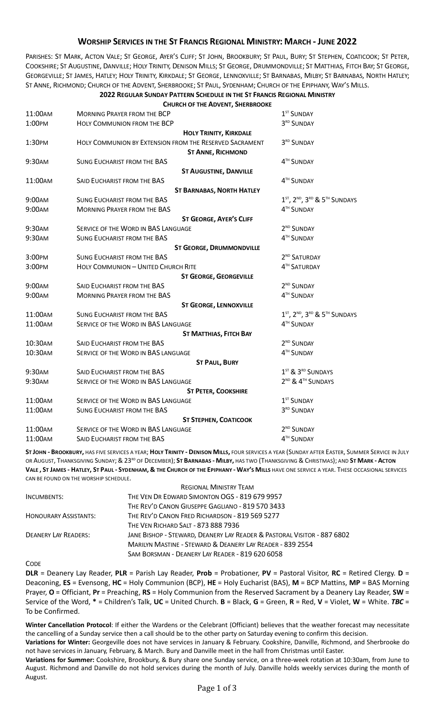## **WORSHIP SERVICES IN THE ST FRANCIS REGIONAL MINISTRY: MARCH - JUNE 2022**

PARISHES: ST MARK, ACTON VALE; ST GEORGE, AYER'S CLIFF; ST JOHN, BROOKBURY; ST PAUL, BURY; ST STEPHEN, COATICOOK; ST PETER, COOKSHIRE; ST AUGUSTINE, DANVILLE; HOLY TRINITY, DENISON MILLS; ST GEORGE, DRUMMONDVILLE; ST MATTHIAS, FITCH BAY; ST GEORGE, GEORGEVILLE; ST JAMES, HATLEY; HOLY TRINITY, KIRKDALE; ST GEORGE, LENNOXVILLE; ST BARNABAS, MILBY; ST BARNABAS, NORTH HATLEY; ST ANNE, RICHMOND; CHURCH OF THE ADVENT, SHERBROOKE; ST PAUL, SYDENHAM; CHURCH OF THE EPIPHANY, WAY'S MILLS.

## **2022 REGULAR SUNDAY PATTERN SCHEDULE IN THE ST FRANCIS REGIONAL MINISTRY CHURCH OF THE ADVENT, SHERBROOKE**

| 11:00AM | <b>MORNING PRAYER FROM THE BCP</b>                      | 1 <sup>ST</sup> SUNDAY                                                        |
|---------|---------------------------------------------------------|-------------------------------------------------------------------------------|
| 1:00PM  | HOLY COMMUNION FROM THE BCP                             | 3RD SUNDAY                                                                    |
|         | <b>HOLY TRINITY, KIRKDALE</b>                           |                                                                               |
| 1:30PM  | HOLY COMMUNION BY EXTENSION FROM THE RESERVED SACRAMENT | 3RD SUNDAY                                                                    |
|         | <b>ST ANNE, RICHMOND</b>                                |                                                                               |
| 9:30AM  | <b>SUNG EUCHARIST FROM THE BAS</b>                      | 4TH SUNDAY                                                                    |
|         | <b>ST AUGUSTINE, DANVILLE</b>                           |                                                                               |
| 11:00AM | SAID EUCHARIST FROM THE BAS                             | 4TH SUNDAY                                                                    |
|         | <b>ST BARNABAS, NORTH HATLEY</b>                        |                                                                               |
| 9:00AM  | <b>SUNG EUCHARIST FROM THE BAS</b>                      | 1 <sup>ST</sup> , 2 <sup>ND</sup> , 3 <sup>RD</sup> & 5 <sup>TH</sup> SUNDAYS |
| 9:00AM  | <b>MORNING PRAYER FROM THE BAS</b>                      | 4TH SUNDAY                                                                    |
|         | <b>ST GEORGE, AYER'S CLIFF</b>                          |                                                                               |
| 9:30AM  | SERVICE OF THE WORD IN BAS LANGUAGE                     | 2 <sup>ND</sup> SUNDAY                                                        |
| 9:30AM  | <b>SUNG EUCHARIST FROM THE BAS</b>                      | 4TH SUNDAY                                                                    |
|         | <b>ST GEORGE, DRUMMONDVILLE</b>                         |                                                                               |
| 3:00PM  | <b>SUNG EUCHARIST FROM THE BAS</b>                      | 2 <sup>ND</sup> SATURDAY                                                      |
| 3:00PM  | <b>HOLY COMMUNION - UNITED CHURCH RITE</b>              | 4TH SATURDAY                                                                  |
|         | <b>ST GEORGE, GEORGEVILLE</b>                           |                                                                               |
| 9:00AM  | SAID EUCHARIST FROM THE BAS                             | 2 <sup>ND</sup> SUNDAY                                                        |
| 9:00AM  | <b>MORNING PRAYER FROM THE BAS</b>                      | 4TH SUNDAY                                                                    |
|         | <b>ST GEORGE, LENNOXVILLE</b>                           |                                                                               |
| 11:00AM | <b>SUNG EUCHARIST FROM THE BAS</b>                      | 1 <sup>ST</sup> , 2 <sup>ND</sup> , 3 <sup>RD</sup> & 5 <sup>TH</sup> SUNDAYS |
| 11:00AM | SERVICE OF THE WORD IN BAS LANGUAGE                     | 4TH SUNDAY                                                                    |
|         | <b>ST MATTHIAS, FITCH BAY</b>                           |                                                                               |
| 10:30AM | SAID EUCHARIST FROM THE BAS                             | 2 <sup>ND</sup> SUNDAY                                                        |
| 10:30AM | SERVICE OF THE WORD IN BAS LANGUAGE                     | 4TH SUNDAY                                                                    |
|         | <b>ST PAUL, BURY</b>                                    |                                                                               |
| 9:30AM  | SAID EUCHARIST FROM THE BAS                             | 1 <sup>ST</sup> & 3RD SUNDAYS                                                 |
| 9:30AM  | SERVICE OF THE WORD IN BAS LANGUAGE                     | 2 <sup>ND</sup> & 4 <sup>TH</sup> SUNDAYS                                     |
|         | <b>ST PETER, COOKSHIRE</b>                              |                                                                               |
| 11:00AM | SERVICE OF THE WORD IN BAS LANGUAGE                     | 1 <sup>ST</sup> SUNDAY                                                        |
| 11:00AM | <b>SUNG EUCHARIST FROM THE BAS</b>                      | 3RD SUNDAY                                                                    |
|         | <b>ST STEPHEN, COATICOOK</b>                            |                                                                               |
| 11:00AM | SERVICE OF THE WORD IN BAS LANGUAGE                     | 2 <sup>ND</sup> SUNDAY                                                        |
| 11:00AM | SAID EUCHARIST FROM THE BAS                             | 4TH SUNDAY                                                                    |

**ST JOHN - BROOKBURY,** HAS FIVE SERVICES A YEAR; **HOLY TRINITY - DENISON MILLS,** FOUR SERVICES A YEAR (SUNDAY AFTER EASTER, SUMMER SERVICE IN JULY OR AUGUST, THANKSGIVING SUNDAY; & 23<sup>RD</sup> OF DECEMBER); **ST BARNABAS - MILBY,** HAS TWO (THANKSGIVING & CHRISTMAS); AND ST MARK - ACTON **VALE , ST JAMES - HATLEY, ST PAUL - SYDENHAM, & THE CHURCH OF THE EPIPHANY - WAY'S MILLS** HAVE ONE SERVICE A YEAR. THESE OCCASIONAL SERVICES CAN BE FOUND ON THE WORSHIP SCHEDULE.

|                              | <b>REGIONAL MINISTRY TEAM</b>                                           |
|------------------------------|-------------------------------------------------------------------------|
| INCUMBENTS:                  | THE VEN DR EDWARD SIMONTON OGS - 819 679 9957                           |
|                              | THE REV'D CANON GIUSEPPE GAGLIANO - 819 570 3433                        |
| <b>HONOURARY ASSISTANTS:</b> | THE REV'D CANON FRED RICHARDSON - 819 569 5277                          |
|                              | THE VEN RICHARD SALT - 873 888 7936                                     |
| <b>DEANERY LAY READERS:</b>  | JANE BISHOP - STEWARD, DEANERY LAY READER & PASTORAL VISITOR - 887 6802 |
|                              | MARILYN MASTINE - STEWARD & DEANERY LAY READER - 839 2554               |
|                              | SAM BORSMAN - DEANERY LAY READER - 819 620 6058                         |

CODE

**DLR** = Deanery Lay Reader, **PLR** = Parish Lay Reader, **Prob** = Probationer, **PV** = Pastoral Visitor, **RC** = Retired Clergy. **D** = Deaconing, **ES** = Evensong, **HC** = Holy Communion (BCP), **HE** = Holy Eucharist (BAS), **M** = BCP Mattins, **MP** = BAS Morning Prayer, **O** = Officiant, **Pr** = Preaching, **RS** = Holy Communion from the Reserved Sacrament by a Deanery Lay Reader, **SW** = Service of the Word, **\*** = Children's Talk, **UC** = United Church. **B** = Black, **G** = Green, **R** = Red, **V** = Violet, **W** = White. *TBC* = To be Confirmed.

**Winter Cancellation Protocol**: If either the Wardens or the Celebrant (Officiant) believes that the weather forecast may necessitate the cancelling of a Sunday service then a call should be to the other party on Saturday evening to confirm this decision.

**Variations for Winter:** Georgeville does not have services in January & February. Cookshire, Danville, Richmond, and Sherbrooke do not have services in January, February, & March. Bury and Danville meet in the hall from Christmas until Easter.

**Variations for Summer:** Cookshire, Brookbury, & Bury share one Sunday service, on a three-week rotation at 10:30am, from June to August. Richmond and Danville do not hold services during the month of July. Danville holds weekly services during the month of August.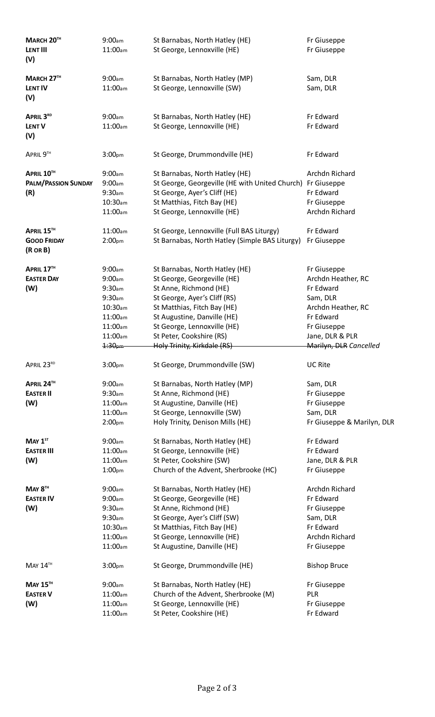| <b>MARCH 20™</b><br><b>LENT III</b><br>(V)       | 9:00am<br>11:00am                                                                                                                 | St Barnabas, North Hatley (HE)<br>St George, Lennoxville (HE)                                                                                                                                                                                                                   | Fr Giuseppe<br>Fr Giuseppe                                                                                                                                |
|--------------------------------------------------|-----------------------------------------------------------------------------------------------------------------------------------|---------------------------------------------------------------------------------------------------------------------------------------------------------------------------------------------------------------------------------------------------------------------------------|-----------------------------------------------------------------------------------------------------------------------------------------------------------|
| MARCH 27TH<br><b>LENT IV</b><br>(V)              | 9:00am<br>11:00am                                                                                                                 | St Barnabas, North Hatley (MP)<br>St George, Lennoxville (SW)                                                                                                                                                                                                                   | Sam, DLR<br>Sam, DLR                                                                                                                                      |
| APRIL 3RD<br><b>LENT V</b><br>(V)                | 9:00am<br>11:00am                                                                                                                 | St Barnabas, North Hatley (HE)<br>St George, Lennoxville (HE)                                                                                                                                                                                                                   | Fr Edward<br>Fr Edward                                                                                                                                    |
| APRIL 9TH                                        | 3:00 <sub>pm</sub>                                                                                                                | St George, Drummondville (HE)                                                                                                                                                                                                                                                   | Fr Edward                                                                                                                                                 |
| APRIL 10TH<br><b>PALM/PASSION SUNDAY</b><br>(R)  | 9:00am<br>9:00am<br>9:30 <sub>am</sub><br>$10:30$ am<br>11:00am                                                                   | St Barnabas, North Hatley (HE)<br>St George, Georgeville (HE with United Church) Fr Giuseppe<br>St George, Ayer's Cliff (HE)<br>St Matthias, Fitch Bay (HE)<br>St George, Lennoxville (HE)                                                                                      | Archdn Richard<br>Fr Edward<br>Fr Giuseppe<br>Archdn Richard                                                                                              |
| APRIL 15TH<br><b>GOOD FRIDAY</b><br>$(R \cap B)$ | 11:00am<br>2:00 <sub>pm</sub>                                                                                                     | St George, Lennoxville (Full BAS Liturgy)<br>St Barnabas, North Hatley (Simple BAS Liturgy)                                                                                                                                                                                     | Fr Edward<br>Fr Giuseppe                                                                                                                                  |
| APRIL 17TH<br><b>EASTER DAY</b><br>(W)           | 9:00am<br>9:00am<br>9:30 <sub>am</sub><br>9:30 <sub>am</sub><br>$10:30$ am<br>11:00am<br>11:00am<br>11:00am<br>1:30 <sub>pm</sub> | St Barnabas, North Hatley (HE)<br>St George, Georgeville (HE)<br>St Anne, Richmond (HE)<br>St George, Ayer's Cliff (RS)<br>St Matthias, Fitch Bay (HE)<br>St Augustine, Danville (HE)<br>St George, Lennoxville (HE)<br>St Peter, Cookshire (RS)<br>Holy Trinity, Kirkdale (RS) | Fr Giuseppe<br>Archdn Heather, RC<br>Fr Edward<br>Sam, DLR<br>Archdn Heather, RC<br>Fr Edward<br>Fr Giuseppe<br>Jane, DLR & PLR<br>Marilyn, DLR Cancelled |
| APRIL 23RD                                       | 3:00 <sub>pm</sub>                                                                                                                | St George, Drummondville (SW)                                                                                                                                                                                                                                                   | <b>UC Rite</b>                                                                                                                                            |
| APRIL 24™<br><b>EASTER II</b><br>(W)             | 9:00am<br>9:30 <sub>am</sub><br>11:00am<br>11:00am<br>2:00 <sub>pm</sub>                                                          | St Barnabas, North Hatley (MP)<br>St Anne, Richmond (HE)<br>St Augustine, Danville (HE)<br>St George, Lennoxville (SW)<br>Holy Trinity, Denison Mills (HE)                                                                                                                      | Sam, DLR<br>Fr Giuseppe<br>Fr Giuseppe<br>Sam, DLR<br>Fr Giuseppe & Marilyn, DLR                                                                          |
| $MAY 1ST$<br><b>EASTER III</b><br>(W)            | 9:00am<br>11:00am<br>11:00am<br>1:00 <sub>pm</sub>                                                                                | St Barnabas, North Hatley (HE)<br>St George, Lennoxville (HE)<br>St Peter, Cookshire (SW)<br>Church of the Advent, Sherbrooke (HC)                                                                                                                                              | Fr Edward<br>Fr Edward<br>Jane, DLR & PLR<br>Fr Giuseppe                                                                                                  |
| MAY 8 <sup>TH</sup><br><b>EASTER IV</b><br>(W)   | 9:00am<br>9:00am<br>9:30 <sub>am</sub><br>9:30 <sub>am</sub><br>$10:30$ am<br>11:00am<br>11:00am                                  | St Barnabas, North Hatley (HE)<br>St George, Georgeville (HE)<br>St Anne, Richmond (HE)<br>St George, Ayer's Cliff (SW)<br>St Matthias, Fitch Bay (HE)<br>St George, Lennoxville (HE)<br>St Augustine, Danville (HE)                                                            | Archdn Richard<br>Fr Edward<br>Fr Giuseppe<br>Sam, DLR<br>Fr Edward<br>Archdn Richard<br>Fr Giuseppe                                                      |
| MATH                                             | 3:00 <sub>pm</sub>                                                                                                                | St George, Drummondville (HE)                                                                                                                                                                                                                                                   | <b>Bishop Bruce</b>                                                                                                                                       |
| <b>MAY 15TH</b><br><b>EASTER V</b><br>(W)        | 9:00am<br>11:00am<br>11:00am<br>11:00am                                                                                           | St Barnabas, North Hatley (HE)<br>Church of the Advent, Sherbrooke (M)<br>St George, Lennoxville (HE)<br>St Peter, Cookshire (HE)                                                                                                                                               | Fr Giuseppe<br>PLR<br>Fr Giuseppe<br>Fr Edward                                                                                                            |